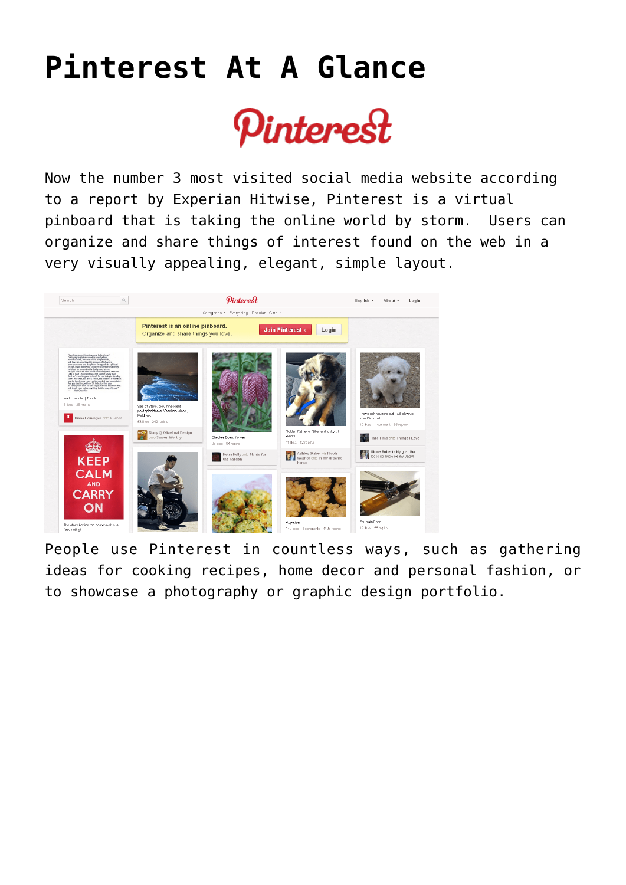## **[Pinterest At A Glance](https://www.tecs-onsite.com/pinterest-com-at-a-glance/)**



Now the number 3 most visited social media website according to a [report by Experian Hitwise](http://go.experian.com/forms/experian-digital-marketer-2012?WT.srch=PR_EMS_DigitalMarketer2012_040412_Download), [Pinterest](http://pinterest.com/) is a virtual pinboard that is taking the online world by storm. Users can organize and share things of interest found on the web in a very visually appealing, elegant, simple layout.



People use Pinterest in countless ways, such as gathering ideas for cooking recipes, home decor and personal fashion, or to showcase a photography or graphic design portfolio.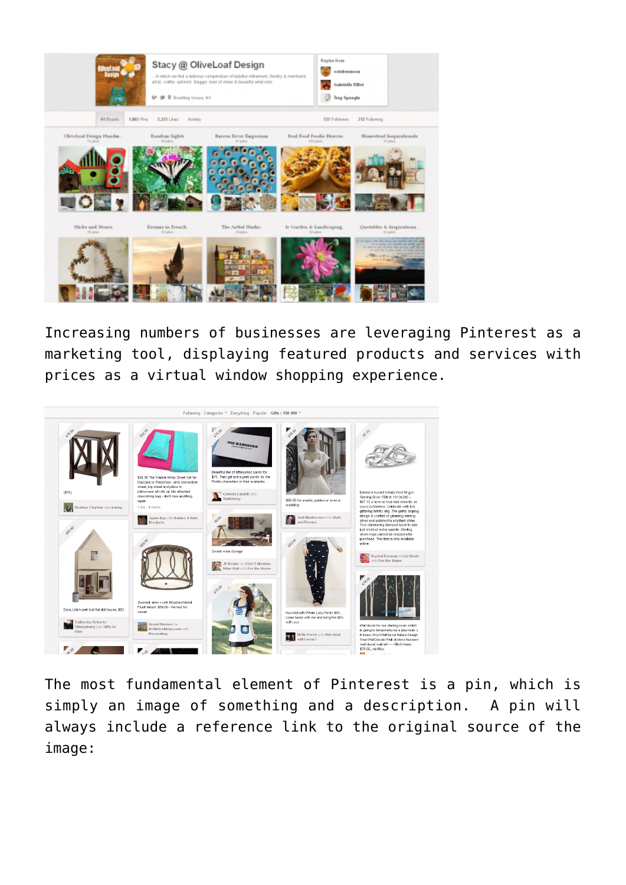

Increasing numbers of businesses are leveraging Pinterest as a marketing tool, displaying featured products and services with prices as a virtual window shopping experience.



The most fundamental element of Pinterest is a pin, which is simply an image of something and a description. A pin will always include a reference link to the original source of the image: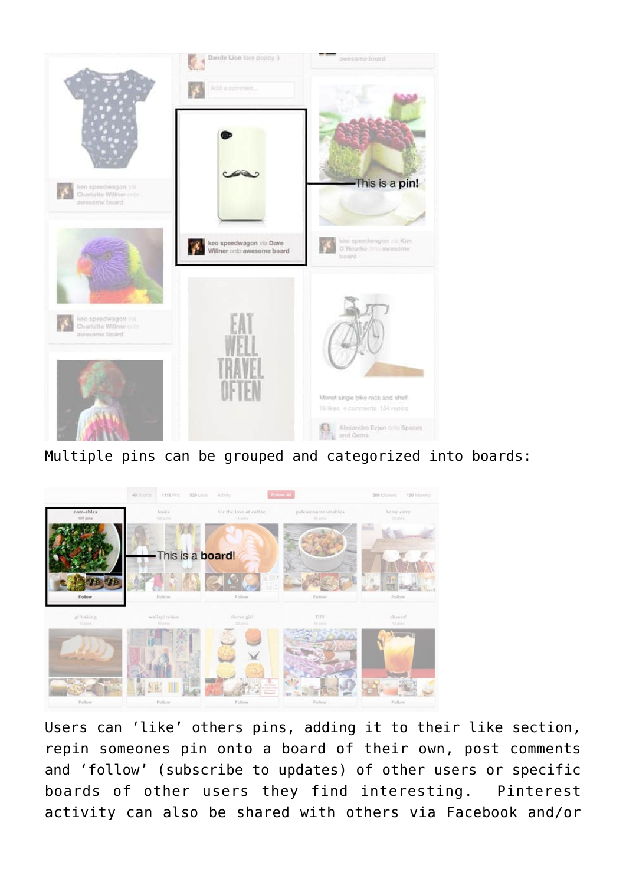

Multiple pins can be grouped and categorized into boards:



Users can 'like' others pins, adding it to their like section, repin someones pin onto a board of their own, post comments and 'follow' (subscribe to updates) of other users or specific boards of other users they find interesting. Pinterest activity can also be shared with others via Facebook and/or